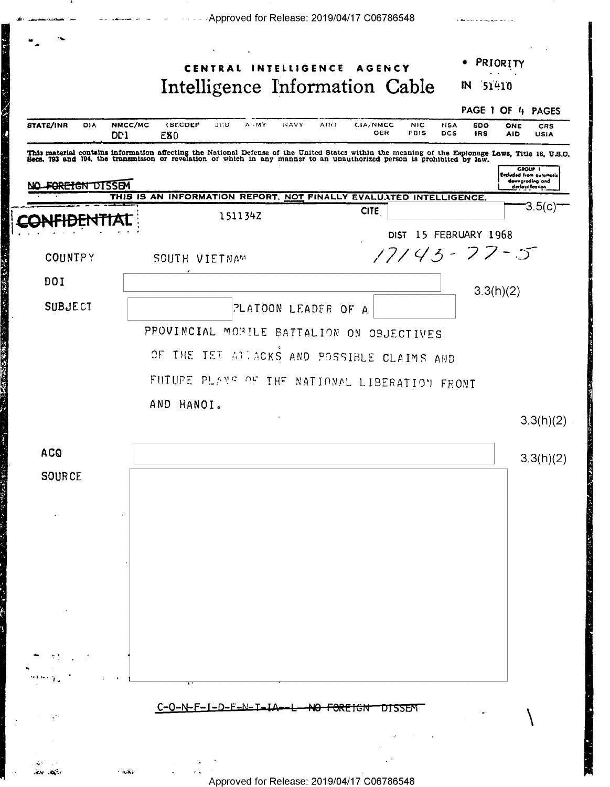|                                                        | CENTRAL INTELLIGENCE AGENCY                                                                                                                                                                                                    |                                               | PRIORITY                                                                                 |
|--------------------------------------------------------|--------------------------------------------------------------------------------------------------------------------------------------------------------------------------------------------------------------------------------|-----------------------------------------------|------------------------------------------------------------------------------------------|
|                                                        | Intelligence Information Cable                                                                                                                                                                                                 |                                               | IN 51410                                                                                 |
|                                                        |                                                                                                                                                                                                                                |                                               | PAGE 1 OF 4 PAGES                                                                        |
| <b>STATE/INR</b><br>NMCC/MC<br>DIA.<br>DD <sub>1</sub> | (SECDEF<br>JCS<br><b>A</b> HAY<br>NAVY<br>EX <sub>0</sub>                                                                                                                                                                      | AIR)<br>CIA/NMCC<br><b>NIC</b><br>OER<br>FBIS | NSA<br><b>SDO</b><br>ONE<br>CRS<br><b>DCS</b><br><b>IRS</b><br><b>AID</b><br><b>USIA</b> |
|                                                        | This material contains information affecting the National Defense of the United States within the meaning of the Espionage Laws, Title 18, U.S.O. Becs. 793 and 794, the transmisson or revelation of which in any manner to a |                                               |                                                                                          |
| <del>FOREIGN DISSEM</del>                              |                                                                                                                                                                                                                                |                                               | <b>GROUP 1</b><br><b>Excluded from automatic</b><br>dewngrading and                      |
|                                                        | THIS IS AN INFORMATION REPORT. NOT FINALLY EVALUATED INTELLIGENCE.                                                                                                                                                             |                                               | declassification<br>3.5(c)                                                               |
|                                                        | 151134Z                                                                                                                                                                                                                        | <b>CITE</b>                                   |                                                                                          |
|                                                        |                                                                                                                                                                                                                                |                                               | DIST 15 FEBRUARY 1968                                                                    |
| <b>COUNTPY</b>                                         | SOUTH VIETNAM                                                                                                                                                                                                                  |                                               | $17145 - 77 - 5$                                                                         |
| DOI                                                    |                                                                                                                                                                                                                                |                                               | 3.3(h)(2)                                                                                |
| <b>SUBJECT</b>                                         | PLATOON LEADER OF A                                                                                                                                                                                                            |                                               |                                                                                          |
|                                                        | PROVINCIAL MOBILE BATTALION ON OBJECTIVES                                                                                                                                                                                      |                                               |                                                                                          |
|                                                        |                                                                                                                                                                                                                                |                                               |                                                                                          |
|                                                        |                                                                                                                                                                                                                                |                                               |                                                                                          |
|                                                        | $\Im E$<br>THE TET ATTACKS AND POSSIBLE CLAIMS AND                                                                                                                                                                             |                                               |                                                                                          |
|                                                        | FUTUPE PLANS OF THE NATIONAL LIBERATION FRONT                                                                                                                                                                                  |                                               |                                                                                          |
|                                                        | AND HANOI.                                                                                                                                                                                                                     |                                               |                                                                                          |
|                                                        |                                                                                                                                                                                                                                |                                               | 3.3(h)(2)                                                                                |
| <b>ACQ</b>                                             |                                                                                                                                                                                                                                |                                               |                                                                                          |
|                                                        |                                                                                                                                                                                                                                |                                               | 3.3(h)(2)                                                                                |
| <b>SOURCE</b>                                          |                                                                                                                                                                                                                                |                                               |                                                                                          |
|                                                        |                                                                                                                                                                                                                                |                                               |                                                                                          |
|                                                        |                                                                                                                                                                                                                                |                                               |                                                                                          |
|                                                        |                                                                                                                                                                                                                                |                                               |                                                                                          |
|                                                        |                                                                                                                                                                                                                                |                                               |                                                                                          |
|                                                        |                                                                                                                                                                                                                                |                                               |                                                                                          |
|                                                        |                                                                                                                                                                                                                                |                                               |                                                                                          |
|                                                        |                                                                                                                                                                                                                                |                                               |                                                                                          |
|                                                        |                                                                                                                                                                                                                                |                                               |                                                                                          |
|                                                        |                                                                                                                                                                                                                                |                                               |                                                                                          |
|                                                        |                                                                                                                                                                                                                                |                                               |                                                                                          |
|                                                        | C-O-N-F-I-D-E-N-T-IA-L                                                                                                                                                                                                         | <del>NO FOREIGN</del><br>DISSEM               |                                                                                          |

**CARL COMPANY** 

禺

 $\overline{1}$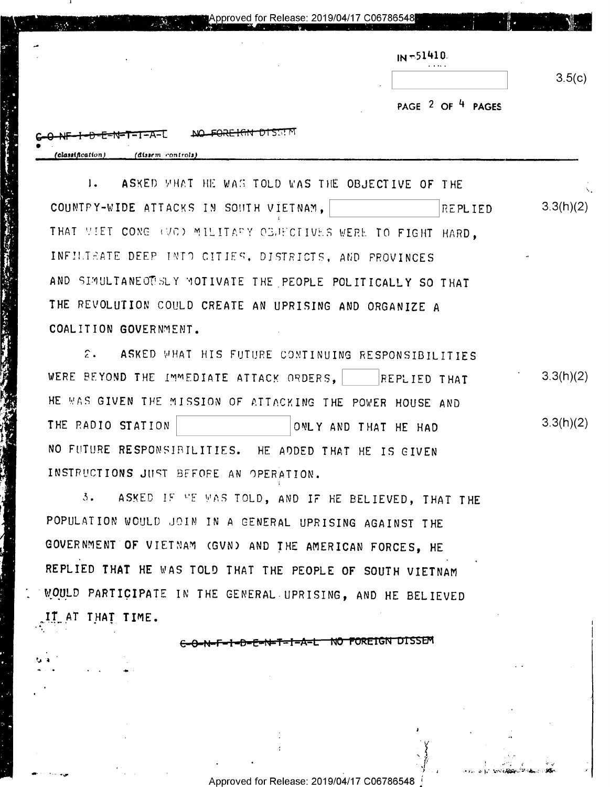|                       |                                           | Approved for Release: 2019/04/17 C06786548 | a na matangan na Marata na katalog sa kabupatèn Kabupatèn Kabupatèn Kabupatèn Kabupatèn Kabupatèn Kabupatèn Ka |                   |        |
|-----------------------|-------------------------------------------|--------------------------------------------|----------------------------------------------------------------------------------------------------------------|-------------------|--------|
| مر                    | ٠                                         |                                            |                                                                                                                | $IN = 51410$      |        |
|                       |                                           |                                            |                                                                                                                |                   | 3.5(c) |
|                       |                                           |                                            | $\cdot$                                                                                                        | PAGE 2 OF 4 PAGES |        |
| ٠<br>(classification) | .-1-A-L<br>जन्दनापन।<br>(dissem controls) | <del>FIGN DIS</del> SIM                    |                                                                                                                |                   |        |

ASKED WHAT HE WAS TOLD WAS THE OBJECTIVE OF THE  $1.$  $3.3(h)(2)$ COUNTRY-WIDE ATTACKS IN SOUTH VIETNAM. REPLIED THAT VIET CONG (VO) MILITARY OBJECTIVES WERE TO FIGHT HARD. INFILIEATE DEEP INTO CITIES, DISTRICTS, AND PROVINCES AND SIMULTANEOTELY MOTIVATE THE PEOPLE POLITICALLY SO THAT THE REVOLUTION COULD CREATE AN UPRISING AND ORGANIZE A COALITION GOVERNMENT.

 $\mathcal{E}$ . ASKED WHAT HIS FUTURE CONTINUING RESPONSIBILITIES  $3.3(h)(2)$ WERE BEYOND THE IMMEDIATE ATTACK ORDERS, REPLIED THAT HE WAS GIVEN THE MISSION OF ATTACKING THE POWER HOUSE AND  $3.3(h)(2)$ THE RADIO STATION ONLY AND THAT HE HAD NO FUTURE RESPONSIBILITIES. HE ADDED THAT HE IS GIVEN INSTRUCTIONS JUST BEFORE AN OPERATION.

ASKED IF WE WAS TOLD, AND IF HE BELIEVED, THAT THE  $3.$ POPULATION WOULD JOIN IN A GENERAL UPRISING AGAINST THE GOVERNMENT OF VIETNAM (GVN) AND THE AMERICAN FORCES, HE REPLIED THAT HE WAS TOLD THAT THE PEOPLE OF SOUTH VIETNAM WOULD PARTICIPATE IN THE GENERAL UPRISING, AND HE BELIEVED IT AT THAT TIME.

<del>NO FORFIGN DISSE</del>M

Approved for Release: 2019/04/17 C06786548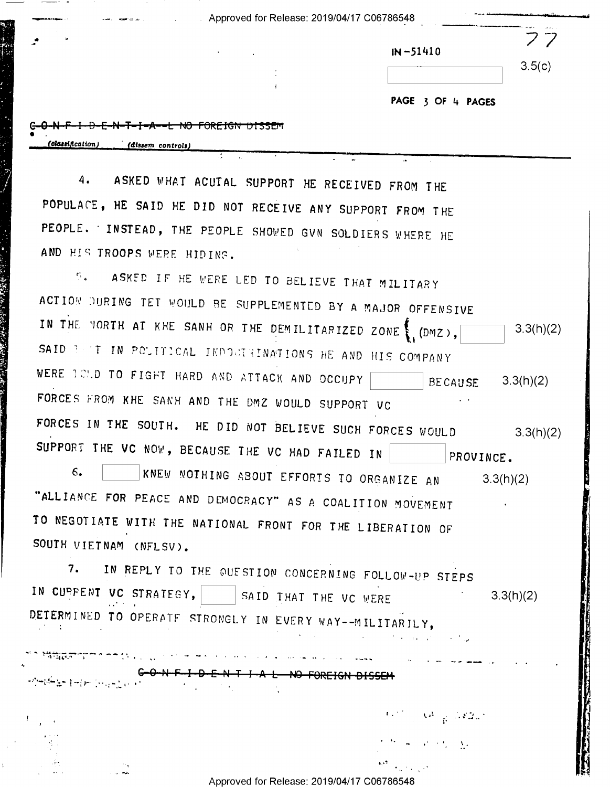Approved for Release: 2019/04/17 C06786548

| $\bullet$<br>$\cdot$                             | $IN - 51410$      |
|--------------------------------------------------|-------------------|
|                                                  | 3.5(c)            |
|                                                  | PAGE 3 OF 4 PAGES |
| <del>I-A--L NO FOREIGN DISSEM</del>              |                   |
| $f$ <i>classification</i> )<br>(dissem controle) |                   |

ASKED WHAT ACUTAL SUPPORT HE RECEIVED FROM THE 4. POPULACE, HE SAID HE DID NOT RECEIVE ANY SUPPORT FROM THE PEOPLE. INSTEAD, THE PEOPLE SHOWED GVN SOLDIERS WHERE HE AND HIS TROOPS WERE HIDING.

ASKED IF HE WERE LED TO BELIEVE THAT MILITARY  $\mathcal{L}_{\text{max}}$ ACTION DURING TET WOULD BE SUPPLEMENTED BY A MAJOR OFFENSIVE IN THE VORTH AT KHE SANH OR THE DEMILITARIZED ZONE \ (DMZ),  $3.3(h)(2)$ SAID TEST IN POLITICAL INDOCTRINATIONS HE AND HIS COMPANY WERE ICLD TO FIGHT HARD AND ATTACK AND OCCUPY **BECAUSE**  $3.3(h)(2)$ FORCES FROM KHE SANH AND THE DMZ WOULD SUPPORT VC FORCES IN THE SOUTH. HE DID NOT BELIEVE SUCH FORCES WOULD  $3.3(h)(2)$ SUPPORT THE VC NOW, BECAUSE THE VC HAD FAILED IN | PROVINCE. KNEW NOTHING ABOUT EFFORIS TO ORGANIZE AN  $6.$  $3.3(h)(2)$ "ALLIANCE FOR PEACE AND DEMOCRACY" AS A COALITION MOVEMENT TO NEGOTIATE WITH THE NATIONAL FRONT FOR THE LIBERATION OF SOUTH VIETNAM (NFLSV).

IN REPLY TO THE QUESTION CONCERNING FOLLOW-UP STEPS 7. IN CUPFENT VC STRATEGY, | | | SAID THAT THE VC WERE  $3.3(h)(2)$ DETERMINED TO OPERATE STRONGLY IN EVERY WAY--MILITARILY,

 $\mathcal{F}^{(1,2)}_{\mathcal{F}^{(1,2)}_{\mathcal{F}^{(1,2)}}}(\mathcal{O}^1_{\mathcal{F}^{(1,2)}_{\mathcal{F}^{(1,2)}}},\mathbb{Z}/2\mathbb{Z}_n)$ 

Approved for Release: 2019/04/17 C06786